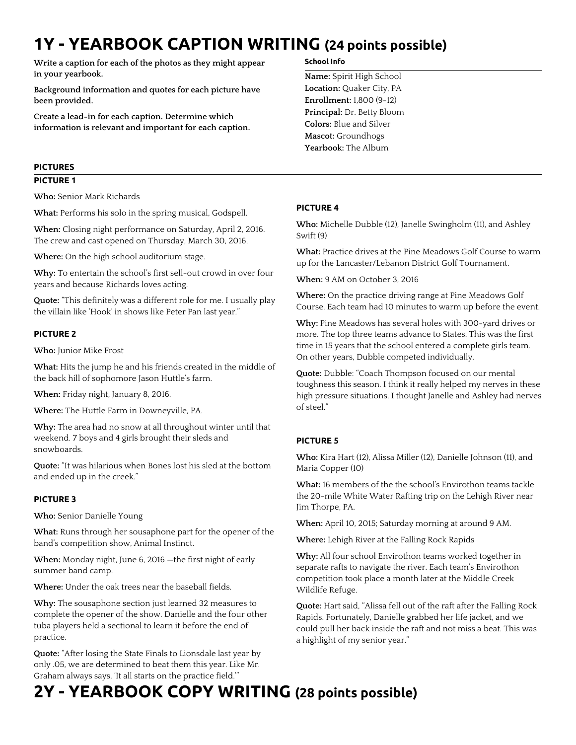# **1Y - YEARBOOK CAPTION WRITING (24 points possible)**

**Write a caption for each of the photos as they might appear in your yearbook.** 

**Background information and quotes for each picture have been provided.** 

**Create a lead-in for each caption. Determine which information is relevant and important for each caption.**

## **PICTURES**

#### **PICTURE 1**

**Who:** Senior Mark Richards

**What:** Performs his solo in the spring musical, Godspell.

**When:** Closing night performance on Saturday, April 2, 2016. The crew and cast opened on Thursday, March 30, 2016.

**Where:** On the high school auditorium stage.

**Why:** To entertain the school's first sell-out crowd in over four years and because Richards loves acting.

**Quote:** "This definitely was a different role for me. I usually play the villain like 'Hook' in shows like Peter Pan last year."

#### **PICTURE 2**

**Who:** Junior Mike Frost

**What:** Hits the jump he and his friends created in the middle of the back hill of sophomore Jason Huttle's farm.

**When:** Friday night, January 8, 2016.

**Where:** The Huttle Farm in Downeyville, PA.

**Why:** The area had no snow at all throughout winter until that weekend. 7 boys and 4 girls brought their sleds and snowboards.

**Quote:** "It was hilarious when Bones lost his sled at the bottom and ended up in the creek."

#### **PICTURE 3**

**Who:** Senior Danielle Young

**What:** Runs through her sousaphone part for the opener of the band's competition show, Animal Instinct.

**When:** Monday night, June 6, 2016 —the first night of early summer band camp.

**Where:** Under the oak trees near the baseball fields.

**Why:** The sousaphone section just learned 32 measures to complete the opener of the show. Danielle and the four other tuba players held a sectional to learn it before the end of practice.

**Quote:** "After losing the State Finals to Lionsdale last year by only .05, we are determined to beat them this year. Like Mr. Graham always says, 'It all starts on the practice field.'"

#### **School Info**

**Name:** Spirit High School **Location:** Quaker City, PA **Enrollment:** 1,800 (9-12) **Principal:** Dr. Betty Bloom **Colors:** Blue and Silver **Mascot:** Groundhogs **Yearbook:** The Album

#### **PICTURE 4**

**Who:** Michelle Dubble (12), Janelle Swingholm (11), and Ashley Swift (9)

**What:** Practice drives at the Pine Meadows Golf Course to warm up for the Lancaster/Lebanon District Golf Tournament.

**When:** 9 AM on October 3, 2016

**Where:** On the practice driving range at Pine Meadows Golf Course. Each team had 10 minutes to warm up before the event.

**Why:** Pine Meadows has several holes with 300-yard drives or more. The top three teams advance to States. This was the first time in 15 years that the school entered a complete girls team. On other years, Dubble competed individually.

**Quote:** Dubble: "Coach Thompson focused on our mental toughness this season. I think it really helped my nerves in these high pressure situations. I thought Janelle and Ashley had nerves of steel."

### **PICTURE 5**

**Who:** Kira Hart (12), Alissa Miller (12), Danielle Johnson (11), and Maria Copper (10)

**What:** 16 members of the the school's Envirothon teams tackle the 20-mile White Water Rafting trip on the Lehigh River near Jim Thorpe, PA.

**When:** April 10, 2015; Saturday morning at around 9 AM.

**Where:** Lehigh River at the Falling Rock Rapids

**Why:** All four school Envirothon teams worked together in separate rafts to navigate the river. Each team's Envirothon competition took place a month later at the Middle Creek Wildlife Refuge.

**Quote:** Hart said, "Alissa fell out of the raft after the Falling Rock Rapids. Fortunately, Danielle grabbed her life jacket, and we could pull her back inside the raft and not miss a beat. This was a highlight of my senior year."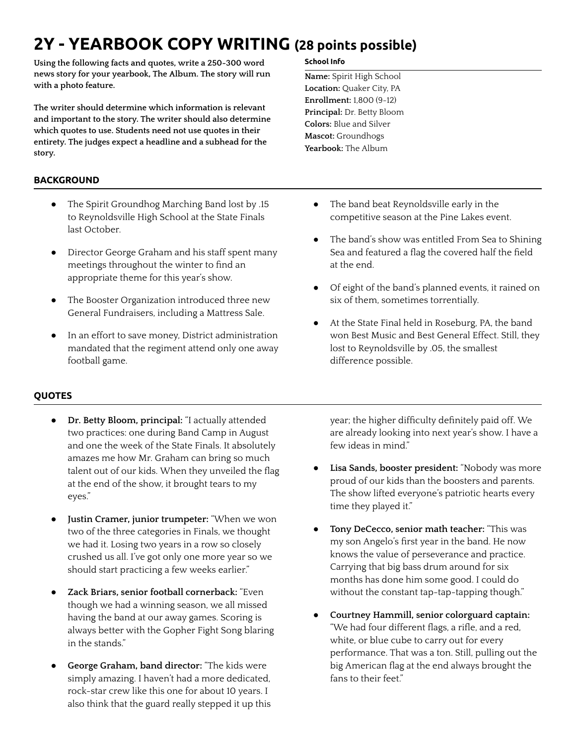# **2Y - YEARBOOK COPY WRITING (28 points possible)**

**Using the following facts and quotes, write a 250-300 word news story for your yearbook, The Album. The story will run with a photo feature.**

**The writer should determine which information is relevant and important to the story. The writer should also determine which quotes to use. Students need not use quotes in their entirety. The judges expect a headline and a subhead for the story.**

## **BACKGROUND**

- **●** The Spirit Groundhog Marching Band lost by .15 to Reynoldsville High School at the State Finals last October.
- **●** Director George Graham and his staff spent many meetings throughout the winter to find an appropriate theme for this year's show.
- The Booster Organization introduced three new General Fundraisers, including a Mattress Sale.
- In an effort to save money, District administration mandated that the regiment attend only one away football game.

# **QUOTES**

- **Dr. Betty Bloom, principal:** "I actually attended two practices: one during Band Camp in August and one the week of the State Finals. It absolutely amazes me how Mr. Graham can bring so much talent out of our kids. When they unveiled the flag at the end of the show, it brought tears to my eyes."
- **Justin Cramer, junior trumpeter:** "When we won two of the three categories in Finals, we thought we had it. Losing two years in a row so closely crushed us all. I've got only one more year so we should start practicing a few weeks earlier."
- **Zack Briars, senior football cornerback:** "Even though we had a winning season, we all missed having the band at our away games. Scoring is always better with the Gopher Fight Song blaring in the stands."
- **George Graham, band director:** "The kids were simply amazing. I haven't had a more dedicated, rock-star crew like this one for about 10 years. I also think that the guard really stepped it up this

#### **School Info**

**Name:** Spirit High School **Location:** Quaker City, PA **Enrollment:** 1,800 (9-12) **Principal:** Dr. Betty Bloom **Colors:** Blue and Silver **Mascot:** Groundhogs **Yearbook:** The Album

- **●** The band beat Reynoldsville early in the competitive season at the Pine Lakes event.
- The band's show was entitled From Sea to Shining Sea and featured a flag the covered half the field at the end.
- **●** Of eight of the band's planned events, it rained on six of them, sometimes torrentially.
- **●** At the State Final held in Roseburg, PA, the band won Best Music and Best General Effect. Still, they lost to Reynoldsville by .05, the smallest difference possible.

year; the higher difficulty definitely paid off. We are already looking into next year's show. I have a few ideas in mind."

- **Lisa Sands, booster president:** "Nobody was more proud of our kids than the boosters and parents. The show lifted everyone's patriotic hearts every time they played it."
- **Tony DeCecco, senior math teacher:** "This was my son Angelo's first year in the band. He now knows the value of perseverance and practice. Carrying that big bass drum around for six months has done him some good. I could do without the constant tap-tap-tapping though."
- **Courtney Hammill, senior colorguard captain:** "We had four different flags, a rifle, and a red, white, or blue cube to carry out for every performance. That was a ton. Still, pulling out the big American flag at the end always brought the fans to their feet."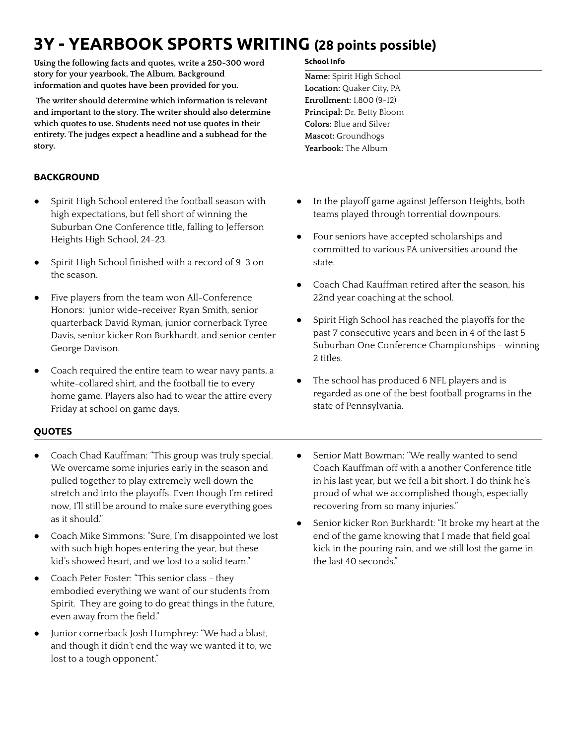# **3Y - YEARBOOK SPORTS WRITING (28 points possible)**

**Using the following facts and quotes, write a 250-300 word story for your yearbook, The Album. Background information and quotes have been provided for you.**

**The writer should determine which information is relevant and important to the story. The writer should also determine which quotes to use. Students need not use quotes in their entirety. The judges expect a headline and a subhead for the story.**

# **BACKGROUND**

- Spirit High School entered the football season with high expectations, but fell short of winning the Suburban One Conference title, falling to Jefferson Heights High School, 24-23.
- Spirit High School finished with a record of 9-3 on the season.
- Five players from the team won All-Conference Honors: junior wide-receiver Ryan Smith, senior quarterback David Ryman, junior cornerback Tyree Davis, senior kicker Ron Burkhardt, and senior center George Davison.
- Coach required the entire team to wear navy pants, a white-collared shirt, and the football tie to every home game. Players also had to wear the attire every Friday at school on game days.

#### **School Info**

**Name:** Spirit High School **Location:** Quaker City, PA **Enrollment:** 1,800 (9-12) **Principal:** Dr. Betty Bloom **Colors:** Blue and Silver **Mascot:** Groundhogs **Yearbook:** The Album

- In the playoff game against Jefferson Heights, both teams played through torrential downpours.
- Four seniors have accepted scholarships and committed to various PA universities around the state.
- Coach Chad Kauffman retired after the season, his 22nd year coaching at the school.
- Spirit High School has reached the playoffs for the past 7 consecutive years and been in 4 of the last 5 Suburban One Conference Championships - winning 2 titles.
- The school has produced 6 NFL players and is regarded as one of the best football programs in the state of Pennsylvania.

### **QUOTES**

- Coach Chad Kauffman: "This group was truly special. We overcame some injuries early in the season and pulled together to play extremely well down the stretch and into the playoffs. Even though I'm retired now, I'll still be around to make sure everything goes as it should."
- Coach Mike Simmons: "Sure, I'm disappointed we lost with such high hopes entering the year, but these kid's showed heart, and we lost to a solid team."
- Coach Peter Foster: "This senior class they embodied everything we want of our students from Spirit. They are going to do great things in the future, even away from the field."
- Junior cornerback Josh Humphrey: "We had a blast, and though it didn't end the way we wanted it to, we lost to a tough opponent."
- Senior Matt Bowman: "We really wanted to send Coach Kauffman off with a another Conference title in his last year, but we fell a bit short. I do think he's proud of what we accomplished though, especially recovering from so many injuries."
- Senior kicker Ron Burkhardt: "It broke my heart at the end of the game knowing that I made that field goal kick in the pouring rain, and we still lost the game in the last 40 seconds."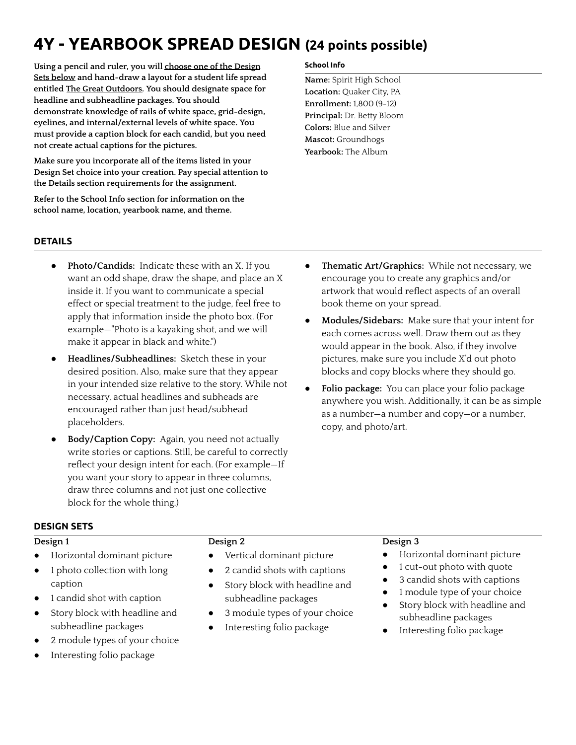# **4Y - YEARBOOK SPREAD DESIGN (24 points possible)**

**Using a pencil and ruler, you will choose one of the Design Sets below and hand-draw a layout for a student life spread entitled The Great Outdoors. You should designate space for headline and subheadline packages. You should demonstrate knowledge of rails of white space, grid-design, eyelines, and internal/external levels of white space. You must provide a caption block for each candid, but you need not create actual captions for the pictures.**

**Make sure you incorporate all of the items listed in your Design Set choice into your creation. Pay special attention to the Details section requirements for the assignment.**

**Refer to the School Info section for information on the school name, location, yearbook name, and theme.**

### **School Info**

**Name:** Spirit High School **Location:** Quaker City, PA **Enrollment:** 1,800 (9-12) **Principal:** Dr. Betty Bloom **Colors:** Blue and Silver **Mascot:** Groundhogs **Yearbook:** The Album

### **DETAILS**

- Photo/Candids: Indicate these with an X. If you want an odd shape, draw the shape, and place an X inside it. If you want to communicate a special effect or special treatment to the judge, feel free to apply that information inside the photo box. (For example—"Photo is a kayaking shot, and we will make it appear in black and white.")
- **Headlines/Subheadlines:** Sketch these in your desired position. Also, make sure that they appear in your intended size relative to the story. While not necessary, actual headlines and subheads are encouraged rather than just head/subhead placeholders.
- **Body/Caption Copy:** Again, you need not actually write stories or captions. Still, be careful to correctly reflect your design intent for each. (For example—If you want your story to appear in three columns, draw three columns and not just one collective block for the whole thing.)
- **Thematic Art/Graphics:** While not necessary, we encourage you to create any graphics and/or artwork that would reflect aspects of an overall book theme on your spread.
- **Modules/Sidebars:** Make sure that your intent for each comes across well. Draw them out as they would appear in the book. Also, if they involve pictures, make sure you include X'd out photo blocks and copy blocks where they should go.
- Folio package: You can place your folio package anywhere you wish. Additionally, it can be as simple as a number—a number and copy—or a number, copy, and photo/art.

### **DESIGN SETS**

### **Design 1**

- Horizontal dominant picture
- 1 photo collection with long caption
- 1 candid shot with caption
- Story block with headline and subheadline packages
- 2 module types of your choice
- Interesting folio package

### **Design 2**

- Vertical dominant picture
- 2 candid shots with captions
- Story block with headline and subheadline packages
- 3 module types of your choice
- Interesting folio package

### **Design 3**

- Horizontal dominant picture
- 1 cut-out photo with quote
- 3 candid shots with captions
- 1 module type of your choice
- Story block with headline and subheadline packages
- Interesting folio package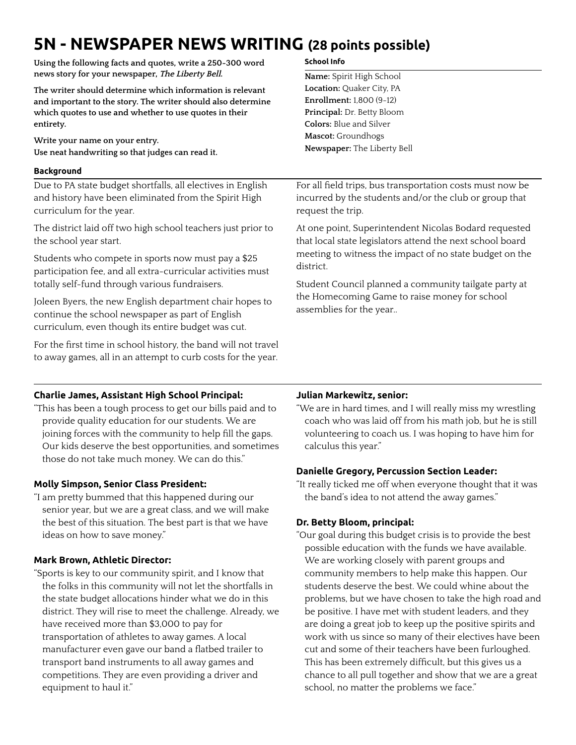# **5N - NEWSPAPER NEWS WRITING (28 points possible)**

**Using the following facts and quotes, write a 250-300 word news story for your newspaper, The Liberty Bell.**

**The writer should determine which information is relevant and important to the story. The writer should also determine which quotes to use and whether to use quotes in their entirety.**

**Write your name on your entry. Use neat handwriting so that judges can read it.**

#### **Background**

Due to PA state budget shortfalls, all electives in English and history have been eliminated from the Spirit High curriculum for the year.

The district laid off two high school teachers just prior to the school year start.

Students who compete in sports now must pay a \$25 participation fee, and all extra-curricular activities must totally self-fund through various fundraisers.

Joleen Byers, the new English department chair hopes to continue the school newspaper as part of English curriculum, even though its entire budget was cut.

For the first time in school history, the band will not travel to away games, all in an attempt to curb costs for the year.

#### **School Info**

**Name:** Spirit High School **Location:** Quaker City, PA **Enrollment:** 1,800 (9-12) **Principal:** Dr. Betty Bloom **Colors:** Blue and Silver **Mascot:** Groundhogs **Newspaper:** The Liberty Bell

For all field trips, bus transportation costs must now be incurred by the students and/or the club or group that request the trip.

At one point, Superintendent Nicolas Bodard requested that local state legislators attend the next school board meeting to witness the impact of no state budget on the district.

Student Council planned a community tailgate party at the Homecoming Game to raise money for school assemblies for the year..

## **Charlie James, Assistant High School Principal:**

"This has been a tough process to get our bills paid and to provide quality education for our students. We are joining forces with the community to help fill the gaps. Our kids deserve the best opportunities, and sometimes those do not take much money. We can do this."

### **Molly Simpson, Senior Class President:**

"I am pretty bummed that this happened during our senior year, but we are a great class, and we will make the best of this situation. The best part is that we have ideas on how to save money."

### **Mark Brown, Athletic Director:**

"Sports is key to our community spirit, and I know that the folks in this community will not let the shortfalls in the state budget allocations hinder what we do in this district. They will rise to meet the challenge. Already, we have received more than \$3,000 to pay for transportation of athletes to away games. A local manufacturer even gave our band a flatbed trailer to transport band instruments to all away games and competitions. They are even providing a driver and equipment to haul it."

## **Julian Markewitz, senior:**

"We are in hard times, and I will really miss my wrestling coach who was laid off from his math job, but he is still volunteering to coach us. I was hoping to have him for calculus this year."

### **Danielle Gregory, Percussion Section Leader:**

"It really ticked me off when everyone thought that it was the band's idea to not attend the away games."

## **Dr. Betty Bloom, principal:**

"Our goal during this budget crisis is to provide the best possible education with the funds we have available. We are working closely with parent groups and community members to help make this happen. Our students deserve the best. We could whine about the problems, but we have chosen to take the high road and be positive. I have met with student leaders, and they are doing a great job to keep up the positive spirits and work with us since so many of their electives have been cut and some of their teachers have been furloughed. This has been extremely difficult, but this gives us a chance to all pull together and show that we are a great school, no matter the problems we face."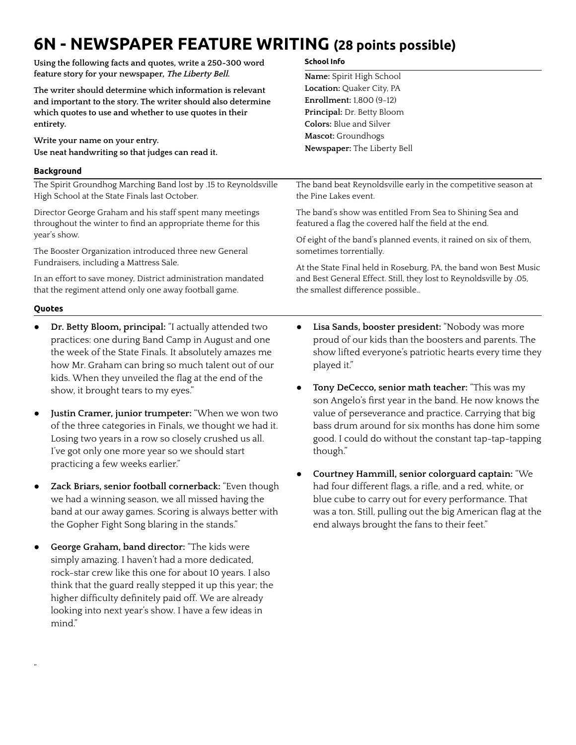# **6N - NEWSPAPER FEATURE WRITING (28 points possible)**

| Using the following facts and quotes, write a 250-300 word<br>feature story for your newspaper, The Liberty Bell.<br>The writer should determine which information is relevant<br>and important to the story. The writer should also determine<br>which quotes to use and whether to use quotes in their<br>entirety. | <b>School Info</b>                                                                                                                                                                             |
|-----------------------------------------------------------------------------------------------------------------------------------------------------------------------------------------------------------------------------------------------------------------------------------------------------------------------|------------------------------------------------------------------------------------------------------------------------------------------------------------------------------------------------|
|                                                                                                                                                                                                                                                                                                                       | Name: Spirit High School<br>Location: Quaker City, PA                                                                                                                                          |
|                                                                                                                                                                                                                                                                                                                       |                                                                                                                                                                                                |
|                                                                                                                                                                                                                                                                                                                       | Principal: Dr. Betty Bloom                                                                                                                                                                     |
|                                                                                                                                                                                                                                                                                                                       | <b>Colors:</b> Blue and Silver                                                                                                                                                                 |
|                                                                                                                                                                                                                                                                                                                       | Write your name on your entry.                                                                                                                                                                 |
| Use neat handwriting so that judges can read it.                                                                                                                                                                                                                                                                      | Newspaper: The Liberty Bell                                                                                                                                                                    |
| <b>Background</b>                                                                                                                                                                                                                                                                                                     |                                                                                                                                                                                                |
| The Spirit Groundhog Marching Band lost by .15 to Reynoldsville<br>High School at the State Finals last October.                                                                                                                                                                                                      | The band beat Reynoldsville early in the competitive season at<br>the Pine Lakes event.                                                                                                        |
| Director George Graham and his staff spent many meetings<br>throughout the winter to find an appropriate theme for this                                                                                                                                                                                               | The band's show was entitled From Sea to Shining Sea and<br>featured a flag the covered half the field at the end.                                                                             |
| year's show.                                                                                                                                                                                                                                                                                                          | Of eight of the band's planned events, it rained on six of them,                                                                                                                               |
| The Booster Organization introduced three new General                                                                                                                                                                                                                                                                 | sometimes torrentially.                                                                                                                                                                        |
| Fundraisers, including a Mattress Sale.                                                                                                                                                                                                                                                                               | At the State Final held in Roseburg, PA, the band won Best Music<br>and Best General Effect. Still, they lost to Reynoldsville by .05,<br>the smallest difference possible                     |
| In an effort to save money, District administration mandated<br>that the regiment attend only one away football game.                                                                                                                                                                                                 |                                                                                                                                                                                                |
| Quotes                                                                                                                                                                                                                                                                                                                |                                                                                                                                                                                                |
| Dr. Betty Bloom, principal: "I actually attended two<br>$\bullet$<br>practices: one during Band Camp in August and one<br>the week of the State Finals. It absolutely amazes me<br>how Mr. Graham can bring so much talent out of our<br>kids. When they unveiled the flag at the end of the                          | Lisa Sands, booster president: "Nobody was more<br>$\bullet$<br>proud of our kids than the boosters and parents. The<br>show lifted everyone's patriotic hearts every time they<br>played it." |
| show, it brought tears to my eyes."                                                                                                                                                                                                                                                                                   | Tony DeCecco, senior math teacher: "This was my<br>$\bullet$<br>son Angelo's first year in the band. He now knows the                                                                          |
| Justin Cramer, junior trumpeter: "When we won two<br>$\bullet$<br>of the three categories in Finals, we thought we had it.                                                                                                                                                                                            | value of perseverance and practice. Carrying that big<br>bass drum around for six months has done him some                                                                                     |

though."

- of the three categories in Finals, we thought we had it. Losing two years in a row so closely crushed us all. I've got only one more year so we should start practicing a few weeks earlier."
- **Zack Briars, senior football cornerback:** "Even though we had a winning season, we all missed having the band at our away games. Scoring is always better with the Gopher Fight Song blaring in the stands."
- **George Graham, band director:** "The kids were simply amazing. I haven't had a more dedicated, rock-star crew like this one for about 10 years. I also think that the guard really stepped it up this year; the higher difficulty definitely paid off. We are already looking into next year's show. I have a few ideas in mind."

"

● **Courtney Hammill, senior colorguard captain:** "We had four different flags, a rifle, and a red, white, or blue cube to carry out for every performance. That was a ton. Still, pulling out the big American flag at the end always brought the fans to their feet."

good. I could do without the constant tap-tap-tapping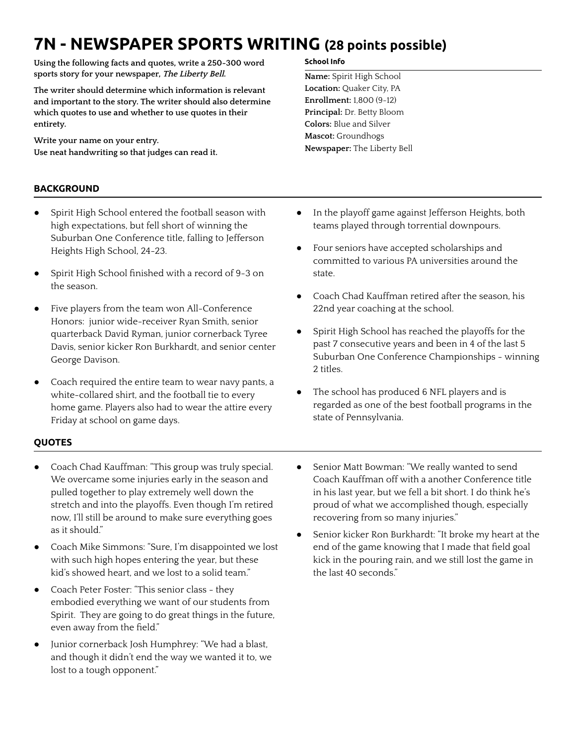# **7N - NEWSPAPER SPORTS WRITING (28 points possible)**

**Using the following facts and quotes, write a 250-300 word sports story for your newspaper, The Liberty Bell.**

**The writer should determine which information is relevant and important to the story. The writer should also determine which quotes to use and whether to use quotes in their entirety.**

**Write your name on your entry. Use neat handwriting so that judges can read it.**

# **BACKGROUND**

- **●** Spirit High School entered the football season with high expectations, but fell short of winning the Suburban One Conference title, falling to Jefferson Heights High School, 24-23.
- **●** Spirit High School finished with a record of 9-3 on the season.
- Five players from the team won All-Conference Honors: junior wide-receiver Ryan Smith, senior quarterback David Ryman, junior cornerback Tyree Davis, senior kicker Ron Burkhardt, and senior center George Davison.
- **●** Coach required the entire team to wear navy pants, a white-collared shirt, and the football tie to every home game. Players also had to wear the attire every Friday at school on game days.

#### **School Info**

**Name:** Spirit High School **Location:** Quaker City, PA **Enrollment:** 1,800 (9-12) **Principal:** Dr. Betty Bloom **Colors:** Blue and Silver **Mascot:** Groundhogs **Newspaper:** The Liberty Bell

- **●** In the playoff game against Jefferson Heights, both teams played through torrential downpours.
- Four seniors have accepted scholarships and committed to various PA universities around the state.
- **●** Coach Chad Kauffman retired after the season, his 22nd year coaching at the school.
- Spirit High School has reached the playoffs for the past 7 consecutive years and been in 4 of the last 5 Suburban One Conference Championships - winning 2 titles.
- The school has produced 6 NFL players and is regarded as one of the best football programs in the state of Pennsylvania.

## **QUOTES**

- Coach Chad Kauffman: "This group was truly special. We overcame some injuries early in the season and pulled together to play extremely well down the stretch and into the playoffs. Even though I'm retired now, I'll still be around to make sure everything goes as it should."
- Coach Mike Simmons: "Sure, I'm disappointed we lost with such high hopes entering the year, but these kid's showed heart, and we lost to a solid team."
- Coach Peter Foster: "This senior class they embodied everything we want of our students from Spirit. They are going to do great things in the future, even away from the field."
- Junior cornerback Josh Humphrey: "We had a blast, and though it didn't end the way we wanted it to, we lost to a tough opponent."
- Senior Matt Bowman: "We really wanted to send Coach Kauffman off with a another Conference title in his last year, but we fell a bit short. I do think he's proud of what we accomplished though, especially recovering from so many injuries."
- Senior kicker Ron Burkhardt: "It broke my heart at the end of the game knowing that I made that field goal kick in the pouring rain, and we still lost the game in the last 40 seconds."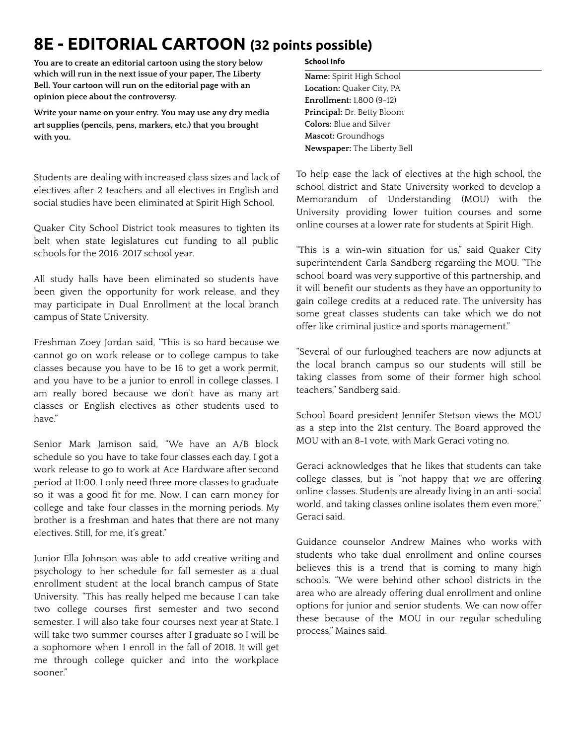# **8E - EDITORIAL CARTOON (32 points possible)**

**You are to create an editorial cartoon using the story below which will run in the next issue of your paper, The Liberty Bell. Your cartoon will run on the editorial page with an opinion piece about the controversy.**

**Write your name on your entry. You may use any dry media art supplies (pencils, pens, markers, etc.) that you brought with you.**

Students are dealing with increased class sizes and lack of electives after 2 teachers and all electives in English and social studies have been eliminated at Spirit High School.

Quaker City School District took measures to tighten its belt when state legislatures cut funding to all public schools for the 2016-2017 school year.

All study halls have been eliminated so students have been given the opportunity for work release, and they may participate in Dual Enrollment at the local branch campus of State University.

Freshman Zoey Jordan said, "This is so hard because we cannot go on work release or to college campus to take classes because you have to be 16 to get a work permit, and you have to be a junior to enroll in college classes. I am really bored because we don't have as many art classes or English electives as other students used to have."

Senior Mark Jamison said, "We have an A/B block schedule so you have to take four classes each day. I got a work release to go to work at Ace Hardware after second period at 11:00. I only need three more classes to graduate so it was a good fit for me. Now, I can earn money for college and take four classes in the morning periods. My brother is a freshman and hates that there are not many electives. Still, for me, it's great."

Junior Ella Johnson was able to add creative writing and psychology to her schedule for fall semester as a dual enrollment student at the local branch campus of State University. "This has really helped me because I can take two college courses first semester and two second semester. I will also take four courses next year at State. I will take two summer courses after I graduate so I will be a sophomore when I enroll in the fall of 2018. It will get me through college quicker and into the workplace sooner."

#### **School Info**

**Name:** Spirit High School **Location:** Quaker City, PA **Enrollment:** 1,800 (9-12) **Principal:** Dr. Betty Bloom **Colors:** Blue and Silver **Mascot:** Groundhogs **Newspaper:** The Liberty Bell

To help ease the lack of electives at the high school, the school district and State University worked to develop a Memorandum of Understanding (MOU) with the University providing lower tuition courses and some online courses at a lower rate for students at Spirit High.

"This is a win-win situation for us," said Quaker City superintendent Carla Sandberg regarding the MOU. "The school board was very supportive of this partnership, and it will benefit our students as they have an opportunity to gain college credits at a reduced rate. The university has some great classes students can take which we do not offer like criminal justice and sports management."

"Several of our furloughed teachers are now adjuncts at the local branch campus so our students will still be taking classes from some of their former high school teachers," Sandberg said.

School Board president Jennifer Stetson views the MOU as a step into the 21st century. The Board approved the MOU with an 8-1 vote, with Mark Geraci voting no.

Geraci acknowledges that he likes that students can take college classes, but is "not happy that we are offering online classes. Students are already living in an anti-social world, and taking classes online isolates them even more," Geraci said.

Guidance counselor Andrew Maines who works with students who take dual enrollment and online courses believes this is a trend that is coming to many high schools. "We were behind other school districts in the area who are already offering dual enrollment and online options for junior and senior students. We can now offer these because of the MOU in our regular scheduling process," Maines said.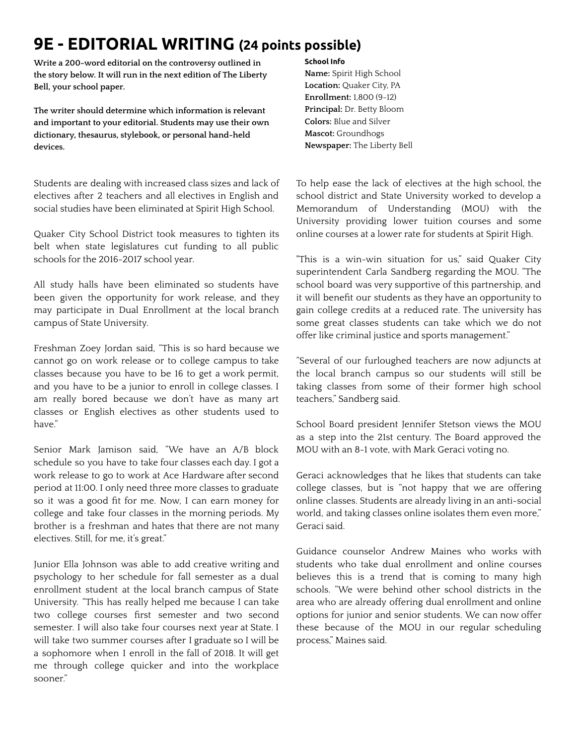# **9E - EDITORIAL WRITING (24 points possible)**

**Write a 200-word editorial on the controversy outlined in the story below. It will run in the next edition of The Liberty Bell, your school paper.**

**The writer should determine which information is relevant and important to your editorial. Students may use their own dictionary, thesaurus, stylebook, or personal hand-held devices.**

Students are dealing with increased class sizes and lack of electives after 2 teachers and all electives in English and social studies have been eliminated at Spirit High School.

Quaker City School District took measures to tighten its belt when state legislatures cut funding to all public schools for the 2016-2017 school year.

All study halls have been eliminated so students have been given the opportunity for work release, and they may participate in Dual Enrollment at the local branch campus of State University.

Freshman Zoey Jordan said, "This is so hard because we cannot go on work release or to college campus to take classes because you have to be 16 to get a work permit, and you have to be a junior to enroll in college classes. I am really bored because we don't have as many art classes or English electives as other students used to have."

Senior Mark Jamison said, "We have an A/B block schedule so you have to take four classes each day. I got a work release to go to work at Ace Hardware after second period at 11:00. I only need three more classes to graduate so it was a good fit for me. Now, I can earn money for college and take four classes in the morning periods. My brother is a freshman and hates that there are not many electives. Still, for me, it's great."

Junior Ella Johnson was able to add creative writing and psychology to her schedule for fall semester as a dual enrollment student at the local branch campus of State University. "This has really helped me because I can take two college courses first semester and two second semester. I will also take four courses next year at State. I will take two summer courses after I graduate so I will be a sophomore when I enroll in the fall of 2018. It will get me through college quicker and into the workplace sooner."

#### **School Info**

**Name:** Spirit High School **Location:** Quaker City, PA **Enrollment:** 1,800 (9-12) **Principal:** Dr. Betty Bloom **Colors:** Blue and Silver **Mascot:** Groundhogs **Newspaper:** The Liberty Bell

To help ease the lack of electives at the high school, the school district and State University worked to develop a Memorandum of Understanding (MOU) with the University providing lower tuition courses and some online courses at a lower rate for students at Spirit High.

"This is a win-win situation for us," said Quaker City superintendent Carla Sandberg regarding the MOU. "The school board was very supportive of this partnership, and it will benefit our students as they have an opportunity to gain college credits at a reduced rate. The university has some great classes students can take which we do not offer like criminal justice and sports management."

"Several of our furloughed teachers are now adjuncts at the local branch campus so our students will still be taking classes from some of their former high school teachers," Sandberg said.

School Board president Jennifer Stetson views the MOU as a step into the 21st century. The Board approved the MOU with an 8-1 vote, with Mark Geraci voting no.

Geraci acknowledges that he likes that students can take college classes, but is "not happy that we are offering online classes. Students are already living in an anti-social world, and taking classes online isolates them even more," Geraci said.

Guidance counselor Andrew Maines who works with students who take dual enrollment and online courses believes this is a trend that is coming to many high schools. "We were behind other school districts in the area who are already offering dual enrollment and online options for junior and senior students. We can now offer these because of the MOU in our regular scheduling process," Maines said.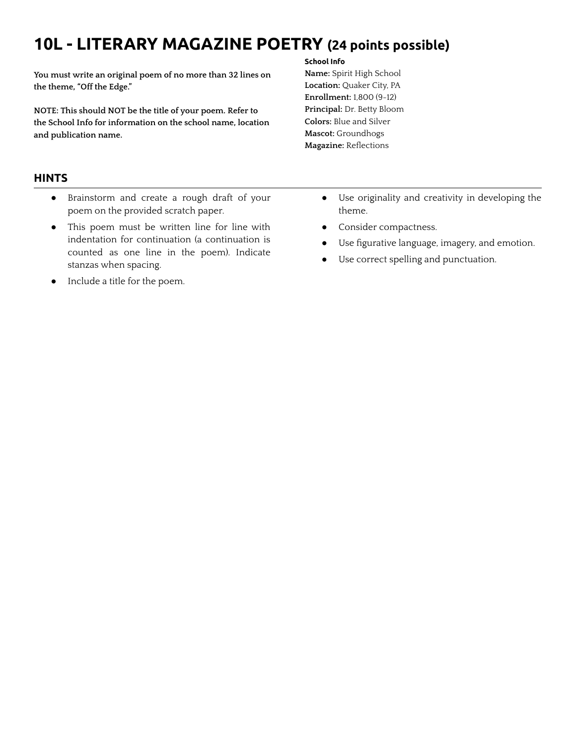# **10L - LITERARY MAGAZINE POETRY (24 points possible)**

**You must write an original poem of no more than 32 lines on the theme, "Off the Edge."**

**NOTE: This should NOT be the title of your poem. Refer to the School Info for information on the school name, location and publication name.**

# **HINTS**

- Brainstorm and create a rough draft of your poem on the provided scratch paper.
- This poem must be written line for line with indentation for continuation (a continuation is counted as one line in the poem). Indicate stanzas when spacing.
- Include a title for the poem.

#### **School Info**

- **Name:** Spirit High School **Location:** Quaker City, PA **Enrollment:** 1,800 (9-12) **Principal:** Dr. Betty Bloom **Colors:** Blue and Silver **Mascot:** Groundhogs **Magazine:** Reflections
	- Use originality and creativity in developing the theme.
	- Consider compactness.
	- Use figurative language, imagery, and emotion.
	- Use correct spelling and punctuation.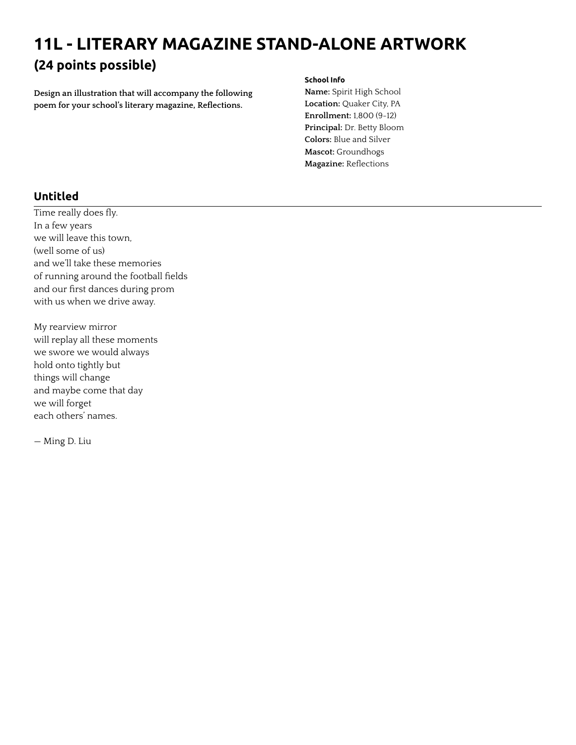# **11L - LITERARY MAGAZINE STAND-ALONE ARTWORK (24 points possible)**

**Design an illustration that will accompany the following poem for your school's literary magazine, Reflections.**

#### **School Info**

**Name:** Spirit High School **Location:** Quaker City, PA **Enrollment:** 1,800 (9-12) **Principal:** Dr. Betty Bloom **Colors:** Blue and Silver **Mascot:** Groundhogs **Magazine:** Reflections

# **Untitled**

Time really does fly. In a few years we will leave this town, (well some of us) and we'll take these memories of running around the football fields and our first dances during prom with us when we drive away.

My rearview mirror will replay all these moments we swore we would always hold onto tightly but things will change and maybe come that day we will forget each others' names.

— Ming D. Liu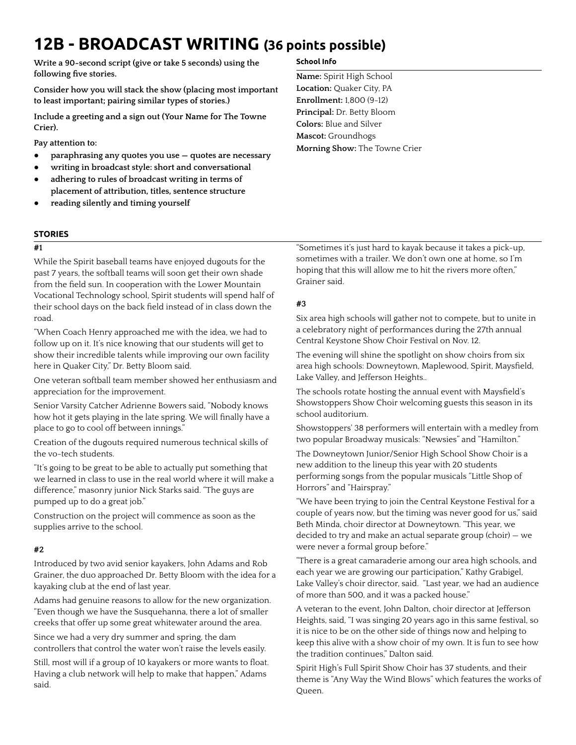# **12B - BROADCAST WRITING (36 points possible)**

**Write a 90-second script (give or take 5 seconds) using the following five stories.**

**Consider how you will stack the show (placing most important to least important; pairing similar types of stories.)**

**Include a greeting and a sign out (Your Name for The Towne Crier).**

**Pay attention to:**

- **● paraphrasing any quotes you use — quotes are necessary**
- **● writing in broadcast style: short and conversational**
- **● adhering to rules of broadcast writing in terms of placement of attribution, titles, sentence structure**
- **● reading silently and timing yourself**

#### **STORIES**

### **#1**

While the Spirit baseball teams have enjoyed dugouts for the past 7 years, the softball teams will soon get their own shade from the field sun. In cooperation with the Lower Mountain Vocational Technology school, Spirit students will spend half of their school days on the back field instead of in class down the road.

"When Coach Henry approached me with the idea, we had to follow up on it. It's nice knowing that our students will get to show their incredible talents while improving our own facility here in Quaker City," Dr. Betty Bloom said.

One veteran softball team member showed her enthusiasm and appreciation for the improvement.

Senior Varsity Catcher Adrienne Bowers said, "Nobody knows how hot it gets playing in the late spring. We will finally have a place to go to cool off between innings."

Creation of the dugouts required numerous technical skills of the vo-tech students.

"It's going to be great to be able to actually put something that we learned in class to use in the real world where it will make a difference," masonry junior Nick Starks said. "The guys are pumped up to do a great job."

Construction on the project will commence as soon as the supplies arrive to the school.

### **#2**

Introduced by two avid senior kayakers, John Adams and Rob Grainer, the duo approached Dr. Betty Bloom with the idea for a kayaking club at the end of last year.

Adams had genuine reasons to allow for the new organization. "Even though we have the Susquehanna, there a lot of smaller creeks that offer up some great whitewater around the area.

Since we had a very dry summer and spring, the dam controllers that control the water won't raise the levels easily.

Still, most will if a group of 10 kayakers or more wants to float. Having a club network will help to make that happen," Adams said.

#### **School Info**

**Name:** Spirit High School **Location:** Quaker City, PA **Enrollment:** 1,800 (9-12) **Principal:** Dr. Betty Bloom **Colors:** Blue and Silver **Mascot:** Groundhogs **Morning Show:** The Towne Crier

"Sometimes it's just hard to kayak because it takes a pick-up, sometimes with a trailer. We don't own one at home, so I'm hoping that this will allow me to hit the rivers more often," Grainer said.

### **#3**

Six area high schools will gather not to compete, but to unite in a celebratory night of performances during the 27th annual Central Keystone Show Choir Festival on Nov. 12.

The evening will shine the spotlight on show choirs from six area high schools: Downeytown, Maplewood, Spirit, Maysfield, Lake Valley, and Jefferson Heights..

The schools rotate hosting the annual event with Maysfield's Showstoppers Show Choir welcoming guests this season in its school auditorium.

Showstoppers' 38 performers will entertain with a medley from two popular Broadway musicals: "Newsies" and "Hamilton."

The Downeytown Junior/Senior High School Show Choir is a new addition to the lineup this year with 20 students performing songs from the popular musicals "Little Shop of Horrors" and "Hairspray."

"We have been trying to join the Central Keystone Festival for a couple of years now, but the timing was never good for us," said Beth Minda, choir director at Downeytown. "This year, we decided to try and make an actual separate group (choir) — we were never a formal group before."

"There is a great camaraderie among our area high schools, and each year we are growing our participation," Kathy Grabigel, Lake Valley's choir director, said. "Last year, we had an audience of more than 500, and it was a packed house."

A veteran to the event, John Dalton, choir director at Jefferson Heights, said, "I was singing 20 years ago in this same festival, so it is nice to be on the other side of things now and helping to keep this alive with a show choir of my own. It is fun to see how the tradition continues," Dalton said.

Spirit High's Full Spirit Show Choir has 37 students, and their theme is "Any Way the Wind Blows" which features the works of Queen.